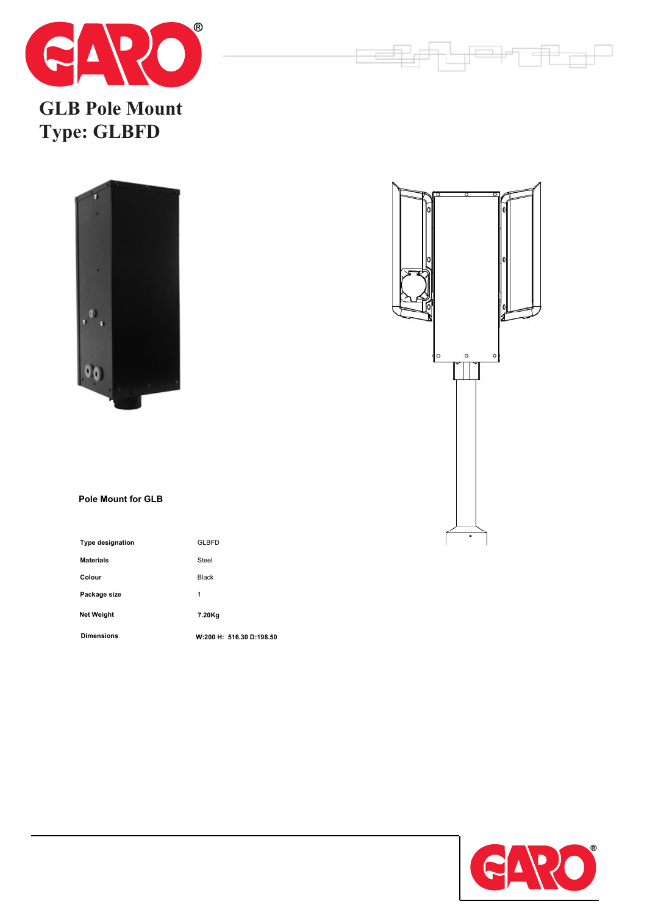





 $\Box$ 

 $\overline{\phantom{a}}$ 

 $\Box$ 

## **Pole Mount for GLB**

| <b>Type designation</b> | GLBFD                    |
|-------------------------|--------------------------|
| <b>Materials</b>        | Steel                    |
| Colour                  | <b>Black</b>             |
| Package size            | 1                        |
| <b>Net Weight</b>       | 7.20Kg                   |
| <b>Dimensions</b>       | W:200 H: 516.30 D:198.50 |